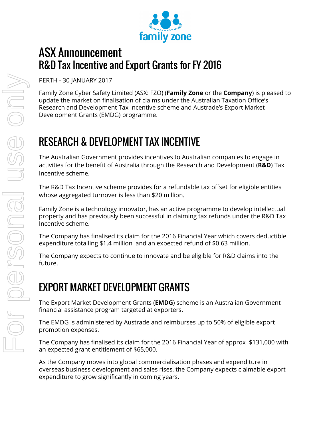

## ASX Announcement R&D Tax Incentive and Export Grants for FY 2016

PERTH - 30 JANUARY 2017

Family Zone Cyber Safety Limited (ASX: FZO) (**Family Zone** or the **Company**) is pleased to update the market on finalisation of claims under the Australian Taxation Office's Research and Development Tax Incentive scheme and Austrade's Export Market Development Grants (EMDG) programme.

# RESEARCH & DEVELOPMENT TAX INCENTIVE

The Australian Government provides incentives to Australian companies to engage in activities for the benefit of Australia through the Research and Development (**R&D**) Tax Incentive scheme.

The R&D Tax Incentive scheme provides for a refundable tax offset for eligible entities whose aggregated turnover is less than \$20 million.

Family Zone is a technology innovator, has an active programme to develop intellectual property and has previously been successful in claiming tax refunds under the R&D Tax Incentive scheme.

The Company has finalised its claim for the 2016 Financial Year which covers deductible expenditure totalling \$1.4 million and an expected refund of \$0.63 million.

The Company expects to continue to innovate and be eligible for R&D claims into the future.

# EXPORT MARKET DEVELOPMENT GRANTS

The Export Market Development Grants (**EMDG**) scheme is an Australian Government financial assistance program targeted at exporters.

The EMDG is administered by Austrade and reimburses up to 50% of eligible export promotion expenses.

The Company has finalised its claim for the 2016 Financial Year of approx \$131,000 with an expected grant entitlement of \$65,000.

As the Company moves into global commercialisation phases and expenditure in overseas business development and sales rises, the Company expects claimable export expenditure to grow significantly in coming years.